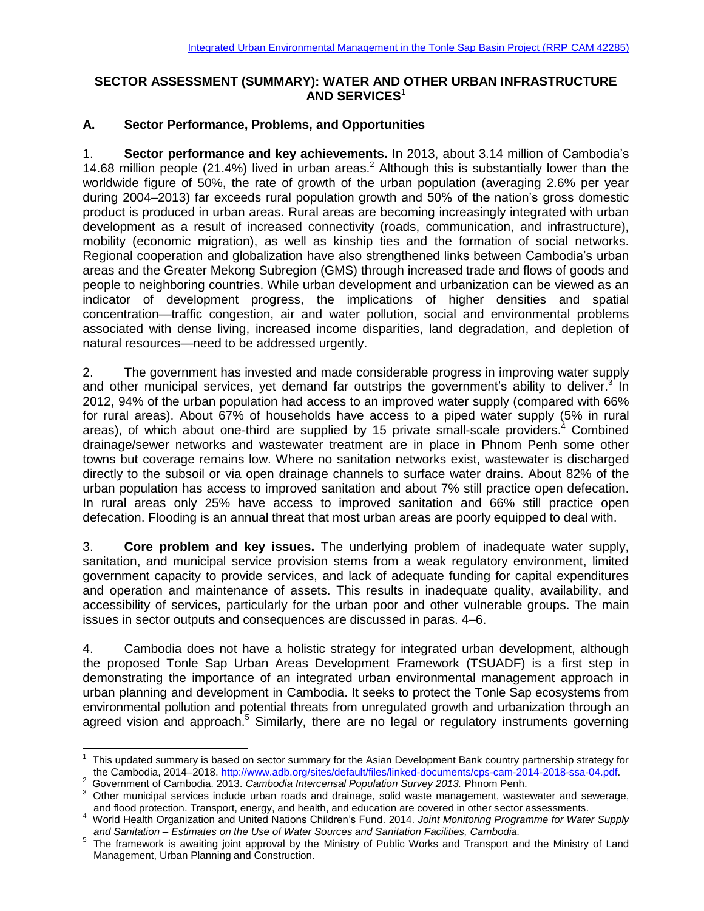# **SECTOR ASSESSMENT (SUMMARY): WATER AND OTHER URBAN INFRASTRUCTURE AND SERVICES<sup>1</sup>**

## **A. Sector Performance, Problems, and Opportunities**

1. **Sector performance and key achievements.** In 2013, about 3.14 million of Cambodia's 14.68 million people (21.4%) lived in urban areas.<sup>2</sup> Although this is substantially lower than the worldwide figure of 50%, the rate of growth of the urban population (averaging 2.6% per year during 2004–2013) far exceeds rural population growth and 50% of the nation's gross domestic product is produced in urban areas. Rural areas are becoming increasingly integrated with urban development as a result of increased connectivity (roads, communication, and infrastructure), mobility (economic migration), as well as kinship ties and the formation of social networks. Regional cooperation and globalization have also strengthened links between Cambodia's urban areas and the Greater Mekong Subregion (GMS) through increased trade and flows of goods and people to neighboring countries. While urban development and urbanization can be viewed as an indicator of development progress, the implications of higher densities and spatial concentration—traffic congestion, air and water pollution, social and environmental problems associated with dense living, increased income disparities, land degradation, and depletion of natural resources—need to be addressed urgently.

2. The government has invested and made considerable progress in improving water supply and other municipal services, yet demand far outstrips the government's ability to deliver.<sup>3</sup> In 2012, 94% of the urban population had access to an improved water supply (compared with 66% for rural areas). About 67% of households have access to a piped water supply (5% in rural areas), of which about one-third are supplied by 15 private small-scale providers.<sup>4</sup> Combined drainage/sewer networks and wastewater treatment are in place in Phnom Penh some other towns but coverage remains low. Where no sanitation networks exist, wastewater is discharged directly to the subsoil or via open drainage channels to surface water drains. About 82% of the urban population has access to improved sanitation and about 7% still practice open defecation. In rural areas only 25% have access to improved sanitation and 66% still practice open defecation. Flooding is an annual threat that most urban areas are poorly equipped to deal with.

3. **Core problem and key issues.** The underlying problem of inadequate water supply, sanitation, and municipal service provision stems from a weak regulatory environment, limited government capacity to provide services, and lack of adequate funding for capital expenditures and operation and maintenance of assets. This results in inadequate quality, availability, and accessibility of services, particularly for the urban poor and other vulnerable groups. The main issues in sector outputs and consequences are discussed in paras. 4–6.

4. Cambodia does not have a holistic strategy for integrated urban development, although the proposed Tonle Sap Urban Areas Development Framework (TSUADF) is a first step in demonstrating the importance of an integrated urban environmental management approach in urban planning and development in Cambodia. It seeks to protect the Tonle Sap ecosystems from environmental pollution and potential threats from unregulated growth and urbanization through an agreed vision and approach.<sup>5</sup> Similarly, there are no legal or regulatory instruments governing

<sup>1</sup> This updated summary is based on sector summary for the Asian Development Bank country partnership strategy for the Cambodia, 2014–2018. [http://www.adb.org/sites/default/files/linked-documents/cps-cam-2014-2018-ssa-04.pdf.](http://www.adb.org/sites/default/files/linked-documents/cps-cam-2014-2018-ssa-04.pdf) 2 Government of Cambodia. 2013. *Cambodia Intercensal Population Survey 2013.* Phnom Penh.

<sup>&</sup>lt;sup>3</sup> Other municipal services include urban roads and drainage, solid waste management, wastewater and sewerage, and flood protection. Transport, energy, and health, and education are covered in other sector assessments.

<sup>4</sup> World Health Organization and United Nations Children's Fund. 2014. *Joint Monitoring Programme for Water Supply and Sanitation – Estimates on the Use of Water Sources and Sanitation Facilities, Cambodia.*

<sup>&</sup>lt;sup>5</sup> The framework is awaiting joint approval by the Ministry of Public Works and Transport and the Ministry of Land Management, Urban Planning and Construction.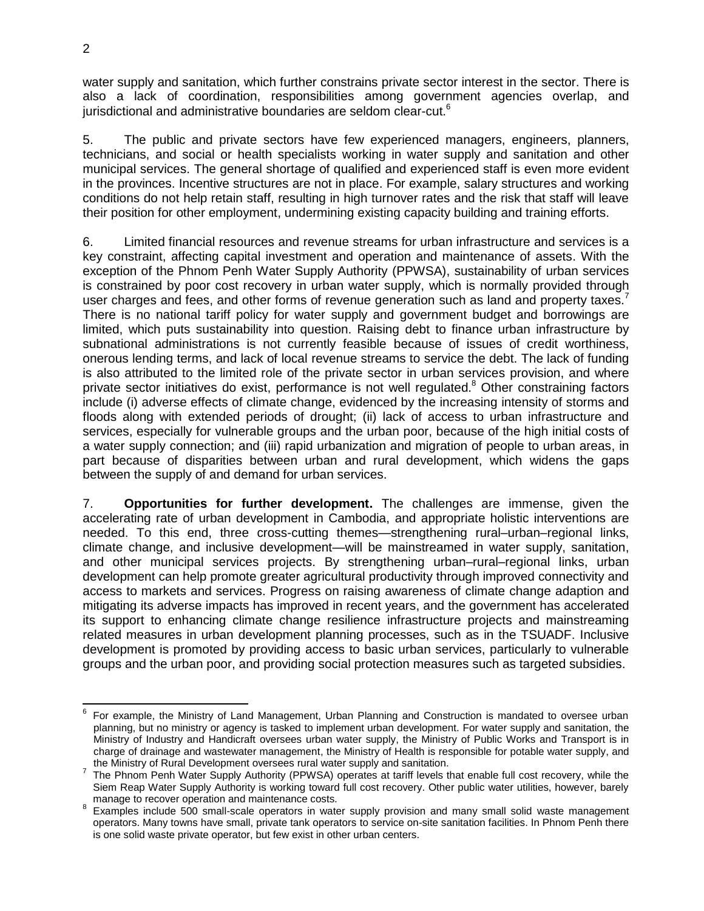water supply and sanitation, which further constrains private sector interest in the sector. There is also a lack of coordination, responsibilities among government agencies overlap, and iurisdictional and administrative boundaries are seldom clear-cut. $6$ 

5. The public and private sectors have few experienced managers, engineers, planners, technicians, and social or health specialists working in water supply and sanitation and other municipal services. The general shortage of qualified and experienced staff is even more evident in the provinces. Incentive structures are not in place. For example, salary structures and working conditions do not help retain staff, resulting in high turnover rates and the risk that staff will leave their position for other employment, undermining existing capacity building and training efforts.

6. Limited financial resources and revenue streams for urban infrastructure and services is a key constraint, affecting capital investment and operation and maintenance of assets. With the exception of the Phnom Penh Water Supply Authority (PPWSA), sustainability of urban services is constrained by poor cost recovery in urban water supply, which is normally provided through user charges and fees, and other forms of revenue generation such as land and property taxes.<sup>7</sup> There is no national tariff policy for water supply and government budget and borrowings are limited, which puts sustainability into question. Raising debt to finance urban infrastructure by subnational administrations is not currently feasible because of issues of credit worthiness, onerous lending terms, and lack of local revenue streams to service the debt. The lack of funding is also attributed to the limited role of the private sector in urban services provision, and where private sector initiatives do exist, performance is not well regulated.<sup>8</sup> Other constraining factors include (i) adverse effects of climate change, evidenced by the increasing intensity of storms and floods along with extended periods of drought; (ii) lack of access to urban infrastructure and services, especially for vulnerable groups and the urban poor, because of the high initial costs of a water supply connection; and (iii) rapid urbanization and migration of people to urban areas, in part because of disparities between urban and rural development, which widens the gaps between the supply of and demand for urban services.

7. **Opportunities for further development.** The challenges are immense, given the accelerating rate of urban development in Cambodia, and appropriate holistic interventions are needed. To this end, three cross-cutting themes—strengthening rural–urban–regional links, climate change, and inclusive development—will be mainstreamed in water supply, sanitation, and other municipal services projects. By strengthening urban–rural–regional links, urban development can help promote greater agricultural productivity through improved connectivity and access to markets and services. Progress on raising awareness of climate change adaption and mitigating its adverse impacts has improved in recent years, and the government has accelerated its support to enhancing climate change resilience infrastructure projects and mainstreaming related measures in urban development planning processes, such as in the TSUADF. Inclusive development is promoted by providing access to basic urban services, particularly to vulnerable groups and the urban poor, and providing social protection measures such as targeted subsidies.

<sup>-&</sup>lt;br>6 For example, the Ministry of Land Management, Urban Planning and Construction is mandated to oversee urban planning, but no ministry or agency is tasked to implement urban development. For water supply and sanitation, the Ministry of Industry and Handicraft oversees urban water supply, the Ministry of Public Works and Transport is in charge of drainage and wastewater management, the Ministry of Health is responsible for potable water supply, and the Ministry of Rural Development oversees rural water supply and sanitation.

<sup>&</sup>lt;sup>7</sup> The Phnom Penh Water Supply Authority (PPWSA) operates at tariff levels that enable full cost recovery, while the Siem Reap Water Supply Authority is working toward full cost recovery. Other public water utilities, however, barely manage to recover operation and maintenance costs.

<sup>&</sup>lt;sup>8</sup> Examples include 500 small-scale operators in water supply provision and many small solid waste management operators. Many towns have small, private tank operators to service on-site sanitation facilities. In Phnom Penh there is one solid waste private operator, but few exist in other urban centers.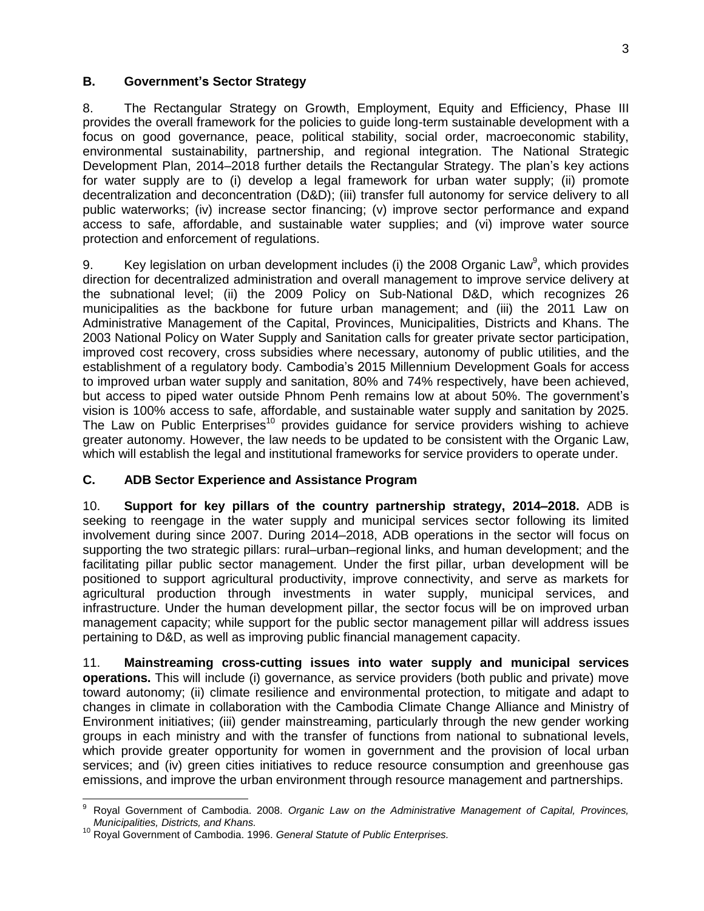### **B. Government's Sector Strategy**

8. The Rectangular Strategy on Growth, Employment, Equity and Efficiency, Phase III provides the overall framework for the policies to guide long-term sustainable development with a focus on good governance, peace, political stability, social order, macroeconomic stability, environmental sustainability, partnership, and regional integration. The National Strategic Development Plan, 2014–2018 further details the Rectangular Strategy. The plan's key actions for water supply are to (i) develop a legal framework for urban water supply; (ii) promote decentralization and deconcentration (D&D); (iii) transfer full autonomy for service delivery to all public waterworks; (iv) increase sector financing; (v) improve sector performance and expand access to safe, affordable, and sustainable water supplies; and (vi) improve water source protection and enforcement of regulations.

9. Key legislation on urban development includes (i) the 2008 Organic Law<sup>9</sup>, which provides direction for decentralized administration and overall management to improve service delivery at the subnational level; (ii) the 2009 Policy on Sub-National D&D, which recognizes 26 municipalities as the backbone for future urban management; and (iii) the 2011 Law on Administrative Management of the Capital, Provinces, Municipalities, Districts and Khans. The 2003 National Policy on Water Supply and Sanitation calls for greater private sector participation, improved cost recovery, cross subsidies where necessary, autonomy of public utilities, and the establishment of a regulatory body. Cambodia's 2015 Millennium Development Goals for access to improved urban water supply and sanitation, 80% and 74% respectively, have been achieved, but access to piped water outside Phnom Penh remains low at about 50%. The government's vision is 100% access to safe, affordable, and sustainable water supply and sanitation by 2025. The Law on Public Enterprises<sup>10</sup> provides guidance for service providers wishing to achieve greater autonomy. However, the law needs to be updated to be consistent with the Organic Law, which will establish the legal and institutional frameworks for service providers to operate under.

## **C. ADB Sector Experience and Assistance Program**

10. **Support for key pillars of the country partnership strategy, 2014–2018.** ADB is seeking to reengage in the water supply and municipal services sector following its limited involvement during since 2007. During 2014–2018, ADB operations in the sector will focus on supporting the two strategic pillars: rural–urban–regional links, and human development; and the facilitating pillar public sector management. Under the first pillar, urban development will be positioned to support agricultural productivity, improve connectivity, and serve as markets for agricultural production through investments in water supply, municipal services, and infrastructure. Under the human development pillar, the sector focus will be on improved urban management capacity; while support for the public sector management pillar will address issues pertaining to D&D, as well as improving public financial management capacity.

11. **Mainstreaming cross-cutting issues into water supply and municipal services operations.** This will include (i) governance, as service providers (both public and private) move toward autonomy; (ii) climate resilience and environmental protection, to mitigate and adapt to changes in climate in collaboration with the Cambodia Climate Change Alliance and Ministry of Environment initiatives; (iii) gender mainstreaming, particularly through the new gender working groups in each ministry and with the transfer of functions from national to subnational levels, which provide greater opportunity for women in government and the provision of local urban services; and (iv) green cities initiatives to reduce resource consumption and greenhouse gas emissions, and improve the urban environment through resource management and partnerships.

 $\overline{\phantom{a}}$ <sup>9</sup> Royal Government of Cambodia. 2008. *Organic Law on the Administrative Management of Capital, Provinces, Municipalities, Districts, and Khans.* 

<sup>10</sup> Royal Government of Cambodia. 1996. *General Statute of Public Enterprises.*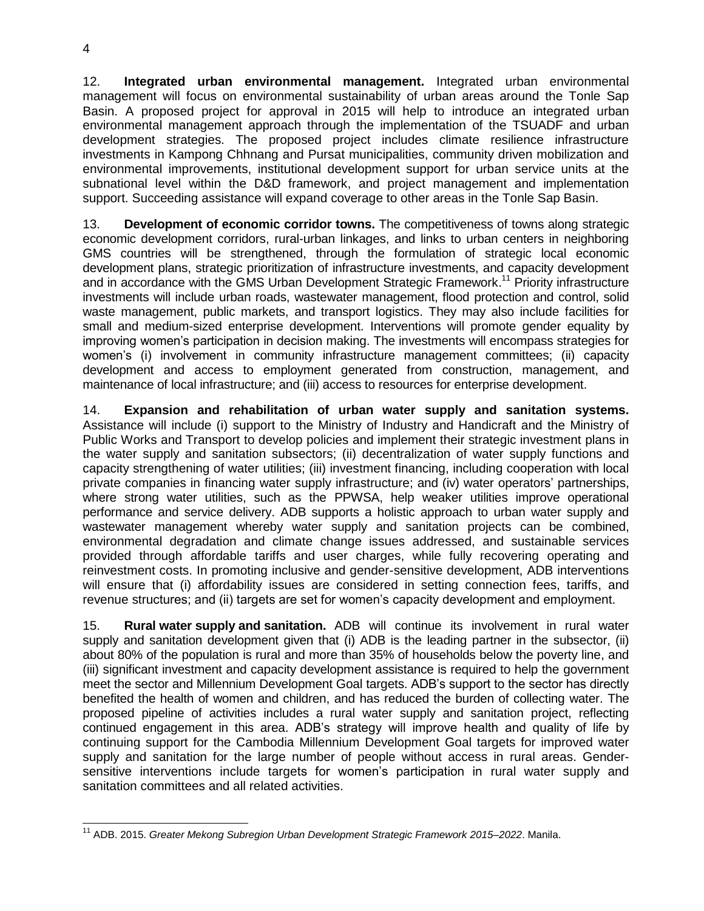12. **Integrated urban environmental management.** Integrated urban environmental management will focus on environmental sustainability of urban areas around the Tonle Sap Basin. A proposed project for approval in 2015 will help to introduce an integrated urban environmental management approach through the implementation of the TSUADF and urban development strategies. The proposed project includes climate resilience infrastructure investments in Kampong Chhnang and Pursat municipalities, community driven mobilization and environmental improvements, institutional development support for urban service units at the subnational level within the D&D framework, and project management and implementation support. Succeeding assistance will expand coverage to other areas in the Tonle Sap Basin.

13. **Development of economic corridor towns.** The competitiveness of towns along strategic economic development corridors, rural-urban linkages, and links to urban centers in neighboring GMS countries will be strengthened, through the formulation of strategic local economic development plans, strategic prioritization of infrastructure investments, and capacity development and in accordance with the GMS Urban Development Strategic Framework.<sup>11</sup> Priority infrastructure investments will include urban roads, wastewater management, flood protection and control, solid waste management, public markets, and transport logistics. They may also include facilities for small and medium-sized enterprise development. Interventions will promote gender equality by improving women's participation in decision making. The investments will encompass strategies for women's (i) involvement in community infrastructure management committees; (ii) capacity development and access to employment generated from construction, management, and maintenance of local infrastructure; and (iii) access to resources for enterprise development.

14. **Expansion and rehabilitation of urban water supply and sanitation systems.** Assistance will include (i) support to the Ministry of Industry and Handicraft and the Ministry of Public Works and Transport to develop policies and implement their strategic investment plans in the water supply and sanitation subsectors; (ii) decentralization of water supply functions and capacity strengthening of water utilities; (iii) investment financing, including cooperation with local private companies in financing water supply infrastructure; and (iv) water operators' partnerships, where strong water utilities, such as the PPWSA, help weaker utilities improve operational performance and service delivery. ADB supports a holistic approach to urban water supply and wastewater management whereby water supply and sanitation projects can be combined, environmental degradation and climate change issues addressed, and sustainable services provided through affordable tariffs and user charges, while fully recovering operating and reinvestment costs. In promoting inclusive and gender-sensitive development, ADB interventions will ensure that (i) affordability issues are considered in setting connection fees, tariffs, and revenue structures; and (ii) targets are set for women's capacity development and employment.

15. **Rural water supply and sanitation.** ADB will continue its involvement in rural water supply and sanitation development given that (i) ADB is the leading partner in the subsector, (ii) about 80% of the population is rural and more than 35% of households below the poverty line, and (iii) significant investment and capacity development assistance is required to help the government meet the sector and Millennium Development Goal targets. ADB's support to the sector has directly benefited the health of women and children, and has reduced the burden of collecting water. The proposed pipeline of activities includes a rural water supply and sanitation project, reflecting continued engagement in this area. ADB's strategy will improve health and quality of life by continuing support for the Cambodia Millennium Development Goal targets for improved water supply and sanitation for the large number of people without access in rural areas. Gendersensitive interventions include targets for women's participation in rural water supply and sanitation committees and all related activities.

 $\overline{a}$ <sup>11</sup> ADB. 2015. *Greater Mekong Subregion Urban Development Strategic Framework 2015–2022*. Manila.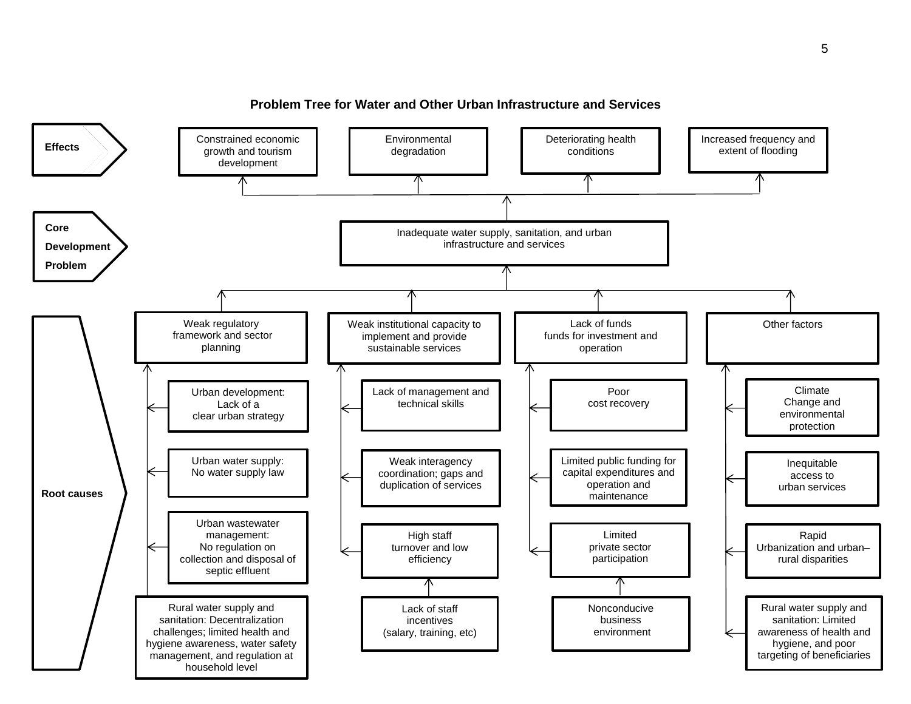

### **Problem Tree for Water and Other Urban Infrastructure and Services**